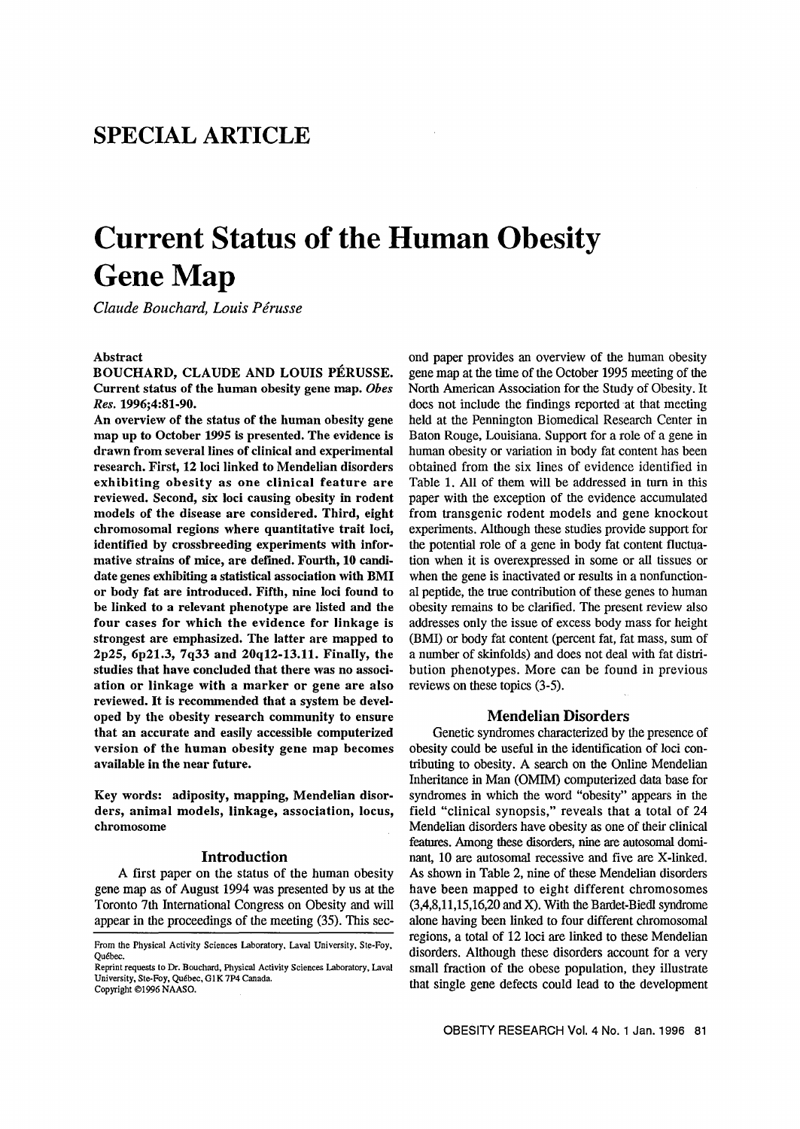# **Current Status of the Human Obesity** Gene Map

*Claude Bouchard, Louis Perusse*

#### Abstract

BOUCHARD, CLAUDE AND LOUIS PERUSSE. Current status of the human obesity gene map. *Obes Res. 1996;4:81-90.*

An overview of the status of the human obesity gene map up to October 1995 is presented. The evidence is drawn from several lines of clinical and experimental research. First, 12 loci linked to Mendelian disorders exhibiting obesity as one clinical feature are reviewed. Second, six loci causing obesity in rodent models of the disease are considered. Third, eight chromosomal regions where quantitative trait loci, identified by crossbreeding experiments with informative strains of mice, are defined. Fourth, 10 candidate genes exhibiting a statistical association with BMI or body fat are introduced. Fifth, nine loci found to be linked to a relevant phenotype are listed and the four cases for which the evidence for linkage is strongest are emphasized. The latter are mapped to 2p25, 6p21.3, 7q33 and 20q12-13.11. Finally, the studies that have concluded that there was no association or linkage with a marker or gene are also reviewed. It is recommended that a system be developed by the obesity research community to ensure that an accurate and easily accessible computerized version of the human obesity gene map becomes available in the near future.

Key words: adiposity, mapping, Mendelian disorders, animal models, linkage, association, locus, chromosome

## Introduction

A first paper on the status of the human obesity gene map as of August 1994 was presented by us at the Toronto 7th International Congress on Obesity and will appear in the proceedings of the meeting (35). This second paper provides an overview of the human obesity gene map at the time of the October 1995 meeting of the North American Association for the Study of Obesity. It does not include the findings reported at that meeting held at the Pennington Biomedical Research Center in Baton Rouge, Louisiana. Support for a role of a gene in human obesity or variation in body fat content has been obtained from the six lines of evidence identified in Table 1. All of them will be addressed in tum in this paper with the exception of the evidence accumulated from transgenic rodent models and gene knockout experiments. Although these studies provide support for the potential role of a gene in body fat content fluctuation when it is overexpressed in some or all tissues or when the gene is inactivated or results in a nonfunctional peptide, the true contribution of these genes to human obesity remains to be clarified. The present review also addresses only the issue of excess body mass for height (BMI) or body fat content (percent fat, fat mass, sum of a number of skinfolds) and does not deal with fat distribution phenotypes. More can be found in previous reviews on these topics (3-5).

#### Mendelian Disorders

Genetic syndromes characterized by the presence of obesity could be useful in the identification of loci contributing to obesity. A search on the Online Mendelian Inheritance in Man (OMIM) computerized data base for syndromes in which the word "obesity" appears in the field "clinical synopsis," reveals that a total of 24 Mendelian disorders have obesity as one of their clinical features. Among these disorders, nine are autosomal dominant, 10 are autosomal recessive and five are X-linked. As shown in Table 2, nine of these Mendelian disorders have been mapped to eight different chromosomes  $(3,4,8,11,15,16,20 \text{ and } X)$ . With the Bardet-Biedl syndrome alone having been linked to four different chromosomal regions, a total of 12 loci are linked to these Mendelian disorders. Although these disorders account for a very small fraction of the obese population, they illustrate that single gene defects could lead to the development

From the Physical Activity Sciences Laboratory, Laval University, Ste-Foy, Quebec.

Reprint requests to Dr. Bouchard, Physical Activity Sciences Laboratory, Laval University, Ste-Foy, Quebec, GlK 7P4 Canada. Copyright ©1996 NAASO.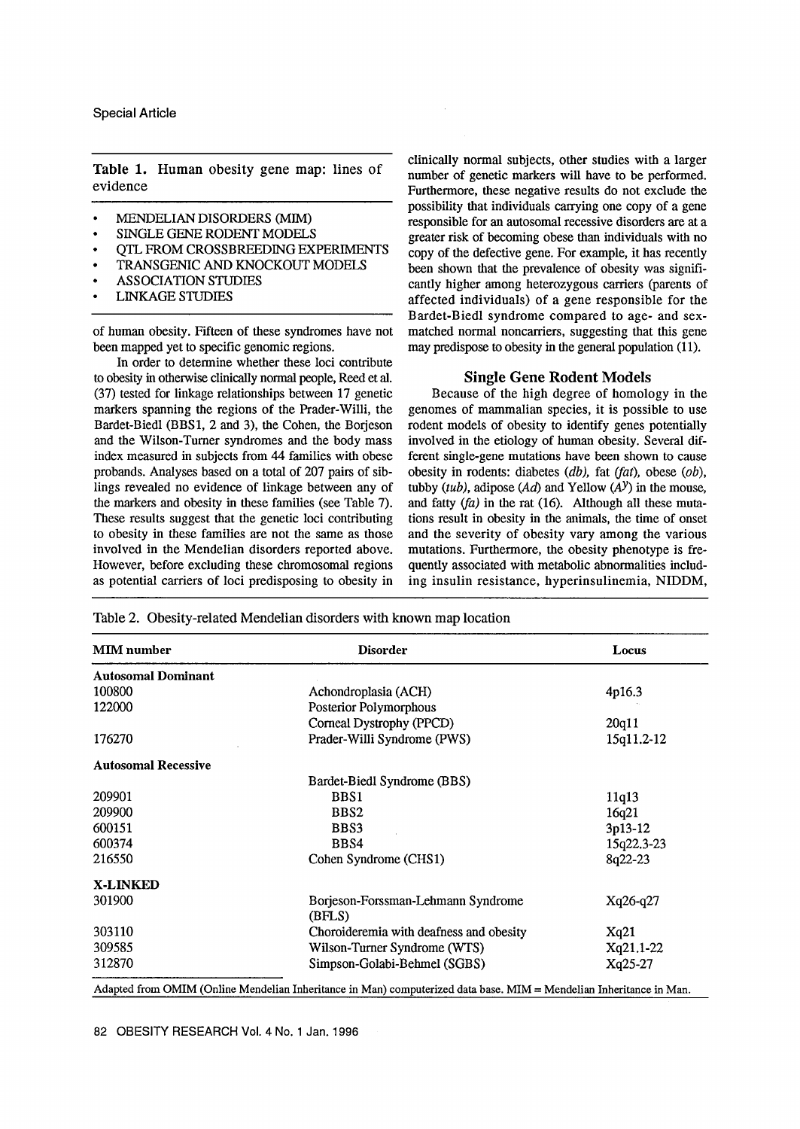Table 1. Human obesity gene map: lines of evidence

- MENDELIAN DISORDERS (MIM)
- SINGLE GENE RODENT MODELS
- QTL FROM CROSSBREEDING EXPERIMENTS
- TRANSGENIC AND KNOCKOUT MODELS
- ASSOCIATION STUDIES
- LINKAGE STUDIES

of human obesity. Fifteen of these syndromes have not been mapped yet to specific genomic regions.

In order to determine whether these loci contribute to obesity in otherwise clinically normal people, Reed et al. (37) tested for linkage relationships between 17 genetic markers spanning the regions of the Prader-Willi, the Bardet-Biedl (BBS1, 2 and 3), the Cohen, the Borjeson and the Wilson-Turner syndromes and the body mass index measured in subjects from 44 families with obese probands. Analyses based on a total of 207 pairs of siblings revealed no evidence of linkage between any of the markers and obesity in these families (see Table 7). These results suggest that the genetic loci contributing to obesity in these families are not the same as those involved in the Mendelian disorders reported above. However, before excluding these chromosomal regions as potential carriers of loci predisposing to obesity in

clinically normal subjects, other studies with a larger number of genetic markers will have to be performed. Furthermore, these negative results do not exclude the possibility that individuals carrying one copy of a gene responsible for an autosomal recessive disorders are at a greater risk of becoming obese than individuals with no copy of the defective gene. For example, it has recently been shown that the prevalence of obesity was significantly higher among heterozygous carriers (parents of affected individuals) of a gene responsible for the Bardet-Biedl syndrome compared to age- and sexmatched normal noncarriers, suggesting that this gene may predispose to obesity in the general population (11).

# Single Gene Rodent Models

Because of the high degree of homology in the genomes of mammalian species, it is possible to use rodent models of obesity to identify genes potentially involved in the etiology of human obesity. Several different single-gene mutations have been shown to cause obesity in rodents: diabetes  $(db)$ , fat  $(fat)$ , obese  $(obj)$ , tubby  $(tub)$ , adipose  $(Ad)$  and Yellow  $(A^y)$  in the mouse, and fatty  $(fa)$  in the rat  $(16)$ . Although all these mutations result in obesity in the animals, the time of onset and the severity of obesity vary among the various mutations. Furthermore, the obesity phenotype is frequently associated with metabolic abnormalities including insulin resistance, hyperinsulinemia, NIDDM,

| <b>MIM</b> number                                 | <b>Disorder</b>                              | Locus      |  |
|---------------------------------------------------|----------------------------------------------|------------|--|
| <b>Autosomal Dominant</b>                         |                                              |            |  |
| 100800                                            | Achondroplasia (ACH)                         | 4p16.3     |  |
| 122000                                            | Posterior Polymorphous                       |            |  |
|                                                   | Corneal Dystrophy (PPCD)                     | 20q11      |  |
| 176270                                            | Prader-Willi Syndrome (PWS)                  | 15q11.2-12 |  |
| <b>Autosomal Recessive</b>                        |                                              |            |  |
|                                                   | Bardet-Biedl Syndrome (BBS)                  |            |  |
| 209901                                            | BBS1                                         | 11q13      |  |
| 209900                                            | BBS2                                         | 16q21      |  |
| 600151                                            | BBS3                                         | 3p13-12    |  |
| 600374                                            | BBS4                                         | 15q22.3-23 |  |
| 216550                                            | Cohen Syndrome (CHS1)                        | 8q22-23    |  |
| <b>X-LINKED</b>                                   |                                              |            |  |
| 301900                                            | Borjeson-Forssman-Lehmann Syndrome<br>(BFLS) | Xq26-q27   |  |
| 303110                                            | Choroideremia with deafness and obesity      | Xq21       |  |
| 309585                                            | Wilson-Turner Syndrome (WTS)                 | Xq21.1-22  |  |
| 312870<br>Simpson-Golabi-Behmel (SGBS)<br>Xq25-27 |                                              |            |  |

Table 2. Obesity-related Mendelian disorders with known map location

Adapted from OMIM (Online Mendelian Inheritance in Man) computerized data base. MIM = Mendelian Inheritance in Man.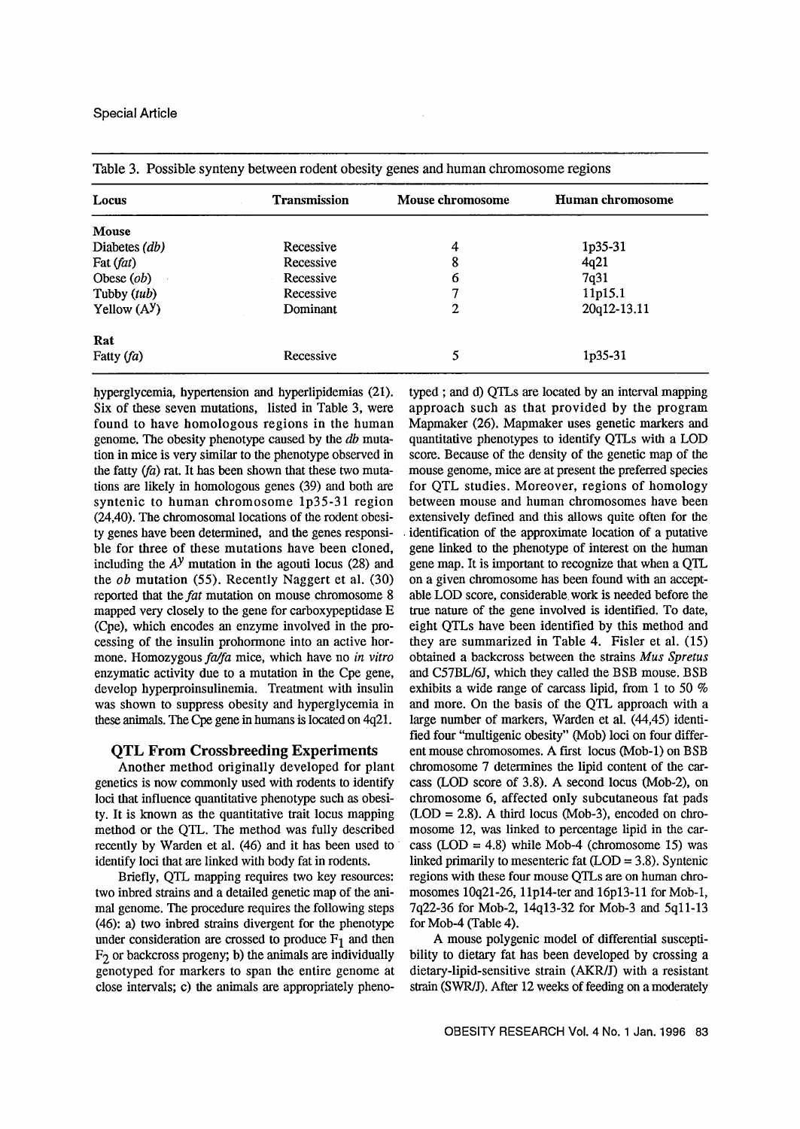| Locus                    | <b>Transmission</b> | Mouse chromosome | Human chromosome |
|--------------------------|---------------------|------------------|------------------|
| Mouse                    |                     |                  |                  |
| Diabetes $(db)$          | Recessive           | 4                | 1p35-31          |
| $\text{Fat}(\text{fat})$ | Recessive           | 8                | 4q21             |
| Obese $(obj)$            | Recessive           | 6                | 7q31             |
| Tubby (tub)              | Recessive           |                  | 11p15.1          |
| Yellow $(Ay)$            | Dominant            | 2                | 20q12-13.11      |
| Rat                      |                     |                  |                  |
| Fatty (fa)               | Recessive           | 5                | 1p35-31          |

Table 3. Possible synteny between rodent obesity genes and human chromosome regions

hyperglycemia, hypertension and hyperlipidemias (21). Six of these seven mutations, listed in Table 3, were found to have homologous regions in the human genome. The obesity phenotype caused by the db mutation in mice is very similar to the phenotype observed in the fatty *(fa)* rat. It has been shown that these two mutations are likely in homologous genes (39) and both are syntenic to human chromosome Ip35-31 region (24,40). The chromosomal locations of the rodent obesity genes have been determined, and the genes responsible for three of these mutations have been cloned, including the  $A<sup>y</sup>$  mutation in the agouti locus (28) and the ob mutation (55). Recently Naggert et al. (30) reported that the *fat* mutation on mouse chromosome 8 mapped very closely to the gene for carboxypeptidase E (Cpe), which encodes an enzyme involved in the processing of the insulin prohormone into an active hormone. Homozygous *fa/fa* mice, which have no *in vitro* enzymatic activity due to a mutation in the Cpe gene, develop hyperproinsulinemia. Treatment with insulin was shown to suppress obesity and hyperglycemia in these animals. The Cpe gene in humans is located on 4q21.

## QTL From Crossbreeding Experiments

Another method originally developed for plant genetics is now commonly used with rodents to identify loci that influence quantitative phenotype such as obesity. It is known as the quantitative trait locus mapping method or the Q1L. The method was fully described recently by Warden et al. (46) and it has been used to identify loci that are linked with body fat in rodents.

Briefly, QTL mapping requires two key resources: two inbred strains and a detailed genetic map of the animal genome. The procedure requires the following steps (46): a) two inbred strains divergent for the phenotype under consideration are crossed to produce  $F_1$  and then  $F<sub>2</sub>$  or backcross progeny; b) the animals are individually genotyped for markers to span the entire genome at close intervals; c) the animals are appropriately pheno-

typed; and d) QTLs are located by an interval mapping approach such as that provided by the program Mapmaker (26). Mapmaker uses genetic markers and quantitative phenotypes to identify QTLs with a LOD score. Because of the density of the genetic map of the mouse genome, mice are at present the preferred species for QTL studies. Moreover, regions of homology between mouse and human chromosomes have been extensively defined and this allows quite often for the . identification of the approximate location of a putative gene linked to the phenotype of interest on the human gene map. It is important to recognize that when a QTL on a given chromosome has been found with an acceptable LOD score, considerable.work is needed before the true nature of the gene involved is identified. To date, eight QTLs have been identified by this method and they are summarized in Table 4. Fisler et al. (15) obtained a backcross between the strains *Mus Spretus* and C57BL/6J, which they called the BSB mouse. BSB exhibits a wide range of carcass lipid, from 1 to 50 % and more. On the basis of the QTL approach with a large number of markers, Warden et al. (44,45) identified four "multigenic obesity" (Mob) loci on four different mouse chromosomes. A first locus (Mob-I) on BSB chromosome 7 determines the lipid content of the carcass (LOD score of 3.8). A second locus (Mob-2), on chromosome 6, affected only subcutaneous fat pads  $(LOD = 2.8)$ . A third locus (Mob-3), encoded on chromosome 12, was linked to percentage lipid in the carcass  $(LOD = 4.8)$  while Mob-4 (chromosome 15) was linked primarily to mesenteric fat  $(LOD = 3.8)$ . Syntenic regions with these four mouse QTLs are on human chromosomes 10q21-26, llpl4-ter and 16pI3-11 for Mob-I, 7q22-36 for Mob-2, 14q13-32 for Mob-3 and 5qll-13 for Mob-4 (Table 4).

A mouse polygenic model of differential susceptibility to dietary fat has been developed by crossing a dietary-lipid-sensitive strain (AKRIJ) with a resistant strain (SWR/J). After 12 weeks of feeding on a moderately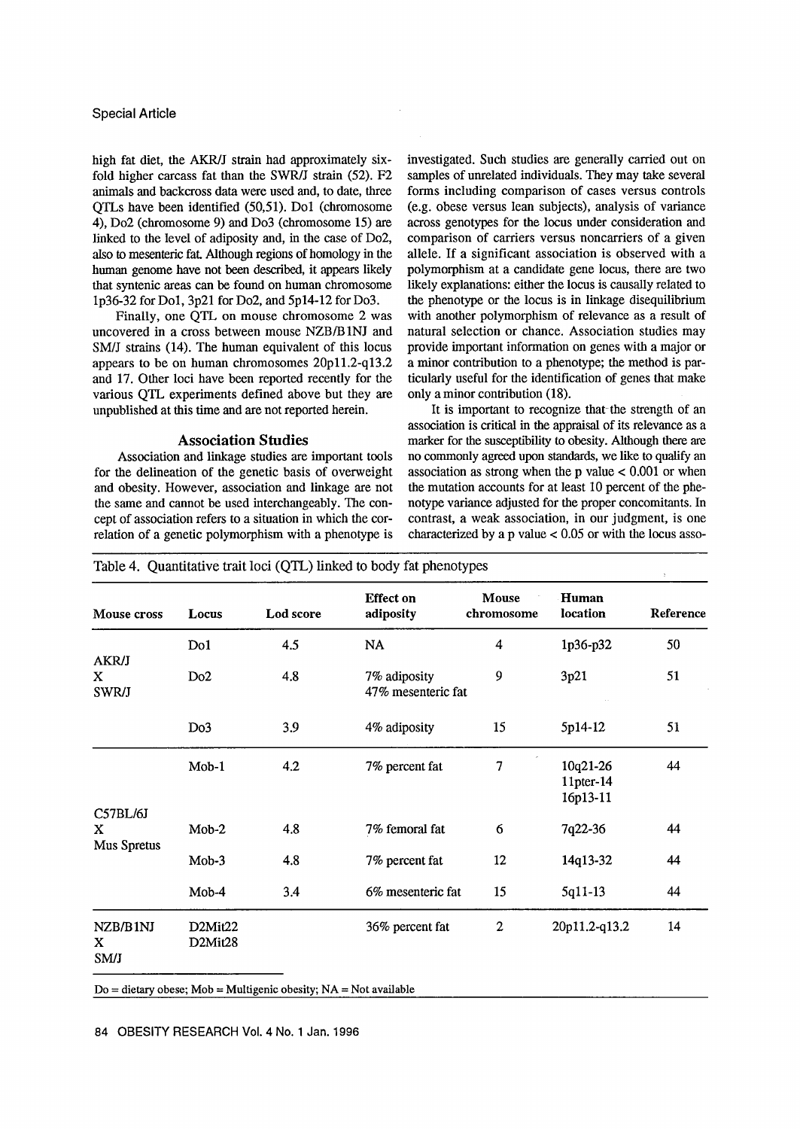high fat diet, the AKR/J strain had approximately sixfold higher carcass fat than the SWR/J strain (52). F2 animals and backcross data were used and, to date, three QTLs have been identified (50,51). Dol (chromosome 4), Do2 (chromosome 9) and Do3 (chromosome 15) are linked to the level of adiposity and, in the case of Do2, also to mesenteric fat Although regions of homology in the human genome have not been described, it appears likely that syntenic areas can be found on human chromosome 1p36-32 for Dol, 3p21 for Do2, and 5p14-12 for Do3.

Finally, one QTL on mouse chromosome 2 was uncovered in a cross between mouse NZB/B1NJ and SM/J strains (14). The human equivalent of this locus appears to be on human chromosomes 20p11.2-q13.2 and 17. Other loci have been reported recently for the various QTL experiments defined above but they are unpublished at this time and are not reported herein.

#### Association Studies

Association and linkage studies are important tools for the delineation of the genetic basis of overweight and obesity. However, association and linkage are not the same and cannot be used interchangeably. The concept of association refers to a situation in which the correlation of a genetic polymorphism with a phenotype is

investigated. Such studies are generally carried out on samples of unrelated individuals. They may take several forms including comparison of cases versus controls (e.g. obese versus lean subjects), analysis of variance across genotypes for the locus under consideration and comparison of carriers versus noncarriers of a given allele. If <sup>a</sup> significant association is observed with a polymorphism at a candidate gene locus, there are two likely explanations: either the locus is causally related to the phenotype or the locus is in linkage disequilibrium with another polymorphism of relevance as a result of natural selection or chance. Association studies may provide important information on genes with a major or a minor contribution to a phenotype; the method is particularly useful for the identification of genes that make only a minor contribution (18).

It is important to recognize that the strength of an association is critical in the appraisal of its relevance as a marker for the susceptibility to obesity. Although there are no commonly agreed upon standards, we like to qualify an association as strong when the p value  $< 0.001$  or when the mutation accounts for at least 10 percent of the phenotype variance adjusted for the proper concomitants. In contrast, a weak association, in our judgment, is one characterized by a  $p$  value  $< 0.05$  or with the locus asso-

| <b>Mouse cross</b>    | Locus                                                                | Lod score | <b>Effect</b> on<br>adiposity      | <b>Mouse</b><br>chromosome | Human<br>location                    | Reference |
|-----------------------|----------------------------------------------------------------------|-----------|------------------------------------|----------------------------|--------------------------------------|-----------|
| AKR/J                 | Do1                                                                  | 4.5       | NA                                 | 4                          | 1p36-p32                             | 50        |
| X.<br>SWR/J           | Do <sub>2</sub>                                                      | 4.8       | 7% adiposity<br>47% mesenteric fat | 9                          | 3p21                                 | 51        |
|                       | Do3                                                                  | 3.9       | 4% adiposity                       | 15                         | 5p14-12                              | 51        |
|                       | $Mob-1$                                                              | 4.2       | 7% percent fat                     | $\overline{7}$             | 10q21-26<br>$11$ pter-14<br>16p13-11 | 44        |
| C57BL/6J<br>X         | Mob-2                                                                | 4.8       | 7% femoral fat                     | 6                          | 7q22-36                              | 44        |
| Mus Spretus           | Mob-3                                                                | 4.8       | 7% percent fat                     | 12                         | 14q13-32                             | 44        |
|                       | Mob-4                                                                | 3.4       | 6% mesenteric fat                  | 15                         | 5q11-13                              | 44        |
| NZB/B1NJ<br>X<br>SM/J | D <sub>2</sub> Mit <sub>22</sub><br>D <sub>2</sub> Mit <sub>28</sub> |           | 36% percent fat                    | $\boldsymbol{2}$           | 20p11.2-q13.2                        | 14        |

 $Do =$  dietary obese;  $Mob =$  Multigenic obesity;  $NA = Not available$ 

84 OBESITY RESEARCH Vol. 4 No.1 Jan. 1996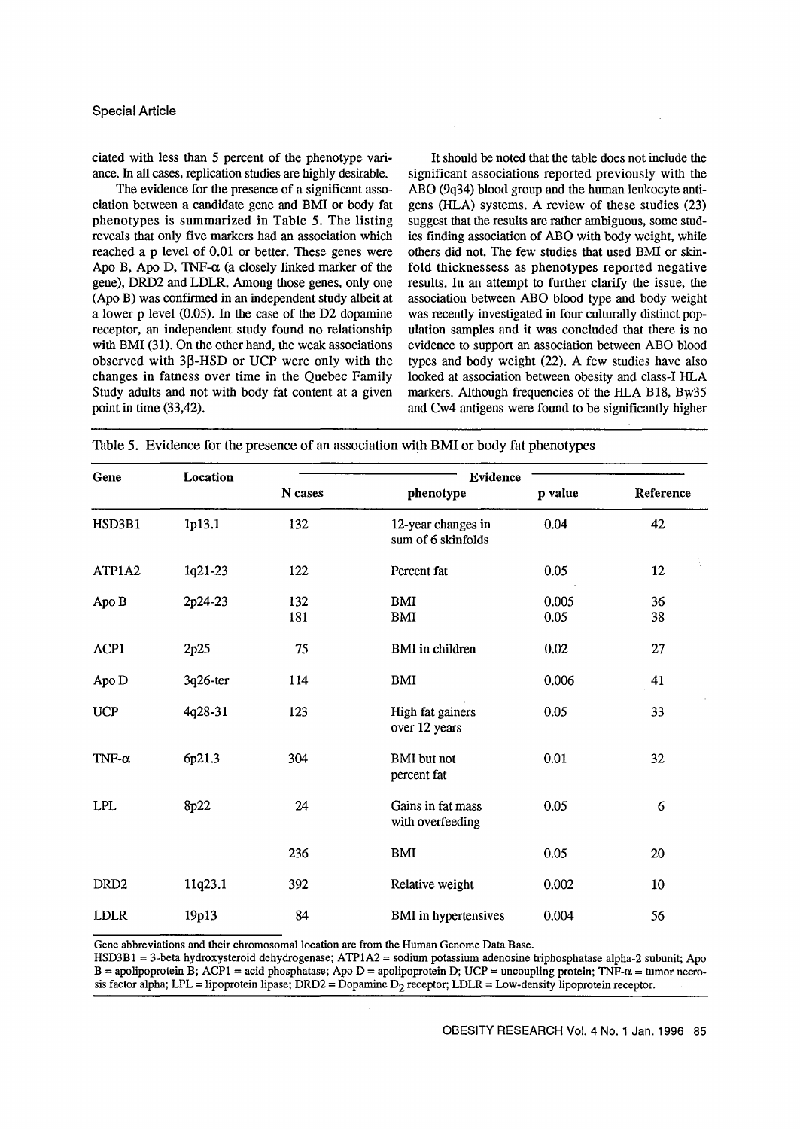ciated with less than 5 percent of the phenotype variance. In all cases, replication studies are highly desirable.

The evidence for the presence of a significant association between a candidate gene and BMI or body fat phenotypes is summarized in Table 5. The listing reveals that only five markers had an association which reached a p level of 0.01 or better. These genes were Apo B, Apo D, TNF- $\alpha$  (a closely linked marker of the gene), DRD2 and LDLR. Among those genes, only one (Apo B) was confirmed in an independent study albeit at a lower p level (0.05). In the case of the D2 dopamine receptor, an independent study found no relationship with BMI (31). On the other hand, the weak associations observed with  $3\beta$ -HSD or UCP were only with the changes in fatness over time in the Quebec Family Study adults and not with body fat content at a given point in time (33,42).

Itshould be noted that the table does not include the significant associations reported previously with the ABO (9q34) blood group and the human leukocyte antigens (HLA) systems. A review of these studies (23) suggest that the results are rather ambiguous, some studies finding association of ABO with body weight, while others did not. The few studies that used BMI or skinfold thicknessess as phenotypes reported negative results. In an attempt to further clarify the issue, the association between ABO blood type and body weight was recently investigated in four culturally distinct population samples and it was concluded that there is no evidence to support an association between ABO blood types and body weight (22). A few studies have also looked at association between obesity and class-I HLA markers. Although frequencies of the HLA B18, Bw35 and Cw4 antigens were found to be significantly higher

Table 5. Evidence for the presence of an association with BMI or body fat phenotypes

| Gene             | Location    |            | <b>Evidence</b>                          |               |           |  |  |
|------------------|-------------|------------|------------------------------------------|---------------|-----------|--|--|
|                  |             | N cases    | phenotype                                | p value       | Reference |  |  |
| HSD3B1           | 1p13.1      | 132        | 12-year changes in<br>sum of 6 skinfolds | 0.04          | 42        |  |  |
| ATP1A2           | 1q21-23     | 122        | Percent fat                              | 0.05          | 12        |  |  |
| Apo B            | 2p24-23     | 132<br>181 | <b>BMI</b><br><b>BMI</b>                 | 0.005<br>0.05 | 36<br>38  |  |  |
| ACP1             | 2p25        | 75         | <b>BMI</b> in children                   | 0.02          | 27        |  |  |
| Apo D            | $3q26$ -ter | 114        | <b>BMI</b>                               | 0.006         | 41        |  |  |
| <b>UCP</b>       | 4q28-31     | 123        | High fat gainers<br>over 12 years        | 0.05          | 33        |  |  |
| TNF- $\alpha$    | 6p21.3      | 304        | <b>BMI</b> but not<br>percent fat        | 0.01          | 32        |  |  |
| <b>LPL</b>       | 8p22        | 24         | Gains in fat mass<br>with overfeeding    | 0.05          | 6         |  |  |
|                  |             | 236        | <b>BMI</b>                               | 0.05          | 20        |  |  |
| DRD <sub>2</sub> | 11q23.1     | 392        | Relative weight                          | 0.002         | 10        |  |  |
| <b>LDLR</b>      | 19p13       | 84         | <b>BMI</b> in hypertensives              | 0.004         | 56        |  |  |

Gene abbreviations and their chromosomal location are from the Human Genome Data Base.

HSD3Bl = 3-beta hydroxysteroid dehydrogenase; ATPIA2 = sodium potassium adenosine triphosphatase alpha-2 subunit; Apo  $B =$  apolipoprotein B; ACP1 = acid phosphatase; Apo D = apolipoprotein D; UCP = uncoupling protein; TNF- $\alpha$  = tumor necrosis factor alpha; LPL = lipoprotein lipase; DRD2 = Dopamine  $D_2$  receptor; LDLR = Low-density lipoprotein receptor.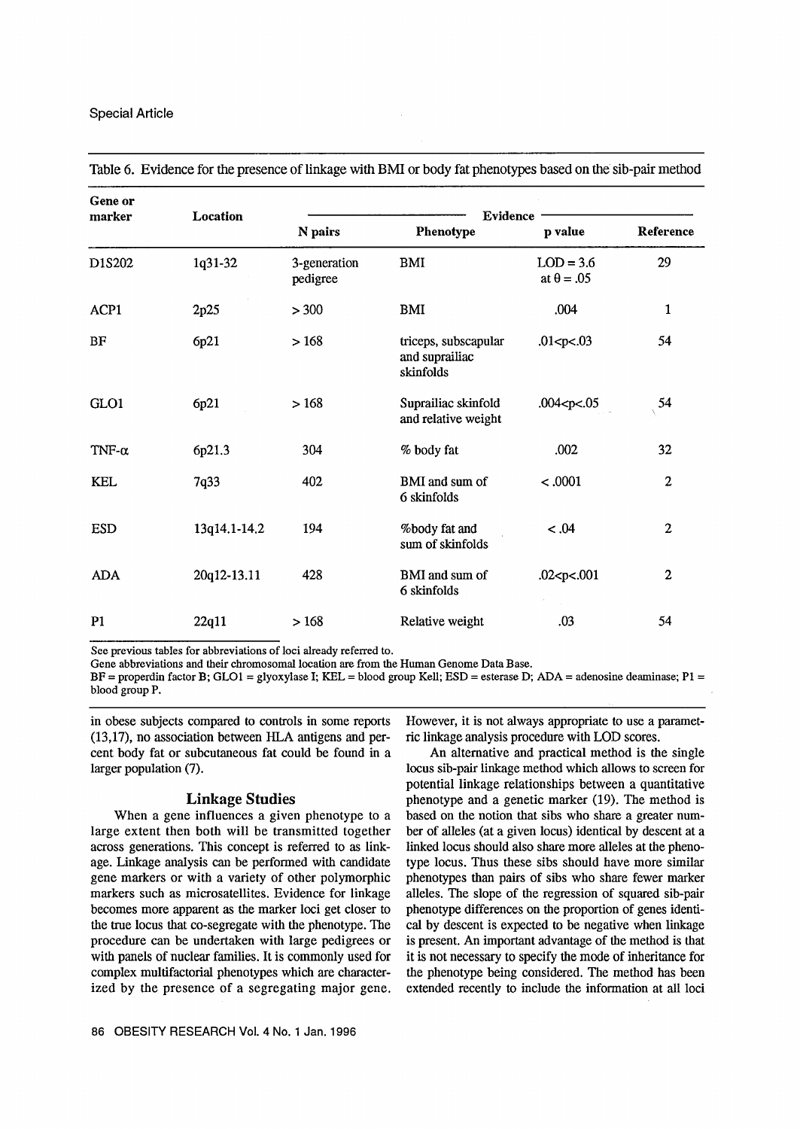| Gene or<br>marker | Location     | <b>Evidence</b>          |                                                     |                                  |                |  |  |
|-------------------|--------------|--------------------------|-----------------------------------------------------|----------------------------------|----------------|--|--|
|                   |              | N pairs                  | Phenotype                                           | p value                          | Reference      |  |  |
| D1S202            | 1q31-32      | 3-generation<br>pedigree | <b>BMI</b>                                          | $LOD = 3.6$<br>at $\theta = .05$ | 29             |  |  |
| ACP1              | 2p25         | > 300                    | <b>BMI</b>                                          | .004                             | $\mathbf{1}$   |  |  |
| BF                | 6p21         | >168                     | triceps, subscapular<br>and suprailiac<br>skinfolds | .01 < p < .03                    | 54             |  |  |
| GLO1              | 6p21         | >168                     | Suprailiac skinfold<br>and relative weight          | .004 $-p < 05$                   | 54             |  |  |
| TNF- $\alpha$     | 6p21.3       | 304                      | % body fat                                          | .002                             | 32             |  |  |
| <b>KEL</b>        | 7q33         | 402                      | BMI and sum of<br>6 skinfolds                       | < .0001                          | $\overline{c}$ |  |  |
| <b>ESD</b>        | 13q14.1-14.2 | 194                      | %body fat and<br>sum of skinfolds                   | < .04                            | $\overline{c}$ |  |  |
| <b>ADA</b>        | 20q12-13.11  | 428                      | BMI and sum of<br>6 skinfolds                       | .02 < p < .001                   | $\overline{c}$ |  |  |
| P <sub>1</sub>    | 22q11        | >168                     | Relative weight                                     | .03                              | 54             |  |  |

Table 6. Evidence for the presence of linkage with BMI or body fat phenotypes based on the sib-pair method

See previous tables for abbreviations of loci already referred to.

Gene abbreviations and their chromosomal location are from the Human Genome Data Base.

BF = properdin factor B; GLOI = glyoxylase I; KEL = blood group Kell; ESD = esterase D; ADA = adenosine deaminase; PI = blood group P.

in obese subjects compared to controls in some reports (13,17), no association between lILA antigens and percent body fat or subcutaneous fat could be found in a larger population (7).

## Linkage Studies

When a gene influences a given phenotype to a large extent then both will be transmitted together across generations. This concept is referred to as linkage. Linkage analysis can be performed witb candidate gene markers or with a variety of otber polymorphic markers such as microsatellites. Evidence for linkage becomes more apparent as the marker loci get closer to the true locus that co-segregate with the phenotype. The procedure can be undertaken with large pedigrees or witb panels of nuclear families. It is commonly used for complex multifactorial phenotypes which are characterized by the presence of a segregating major gene.

phenotypes tban pairs of sibs who share fewer marker alleles. The slope of the regression of squared sib-pair phenotype differences on the proportion of genes identical by descent is expected to be negative when linkage is present. An important advantage of the method is that it is not necessary to specify the mode of inheritance for the phenotype being considered. The method has been extended recently to include the information at all loci

However, it is not always appropriate to use a paramet-

An alternative and practical method is the single locus sib-pair linkage method which allows to screen for potential linkage relationships between a quantitative phenotype and a genetic marker (19). The method is based on the notion that sibs who share a greater number of alleles (at a given locus) identical by descent at a linked locus should also share more alleles at the phenotype locus. Thus these sibs should have more similar

ric linkage analysis procedure with LOD scores.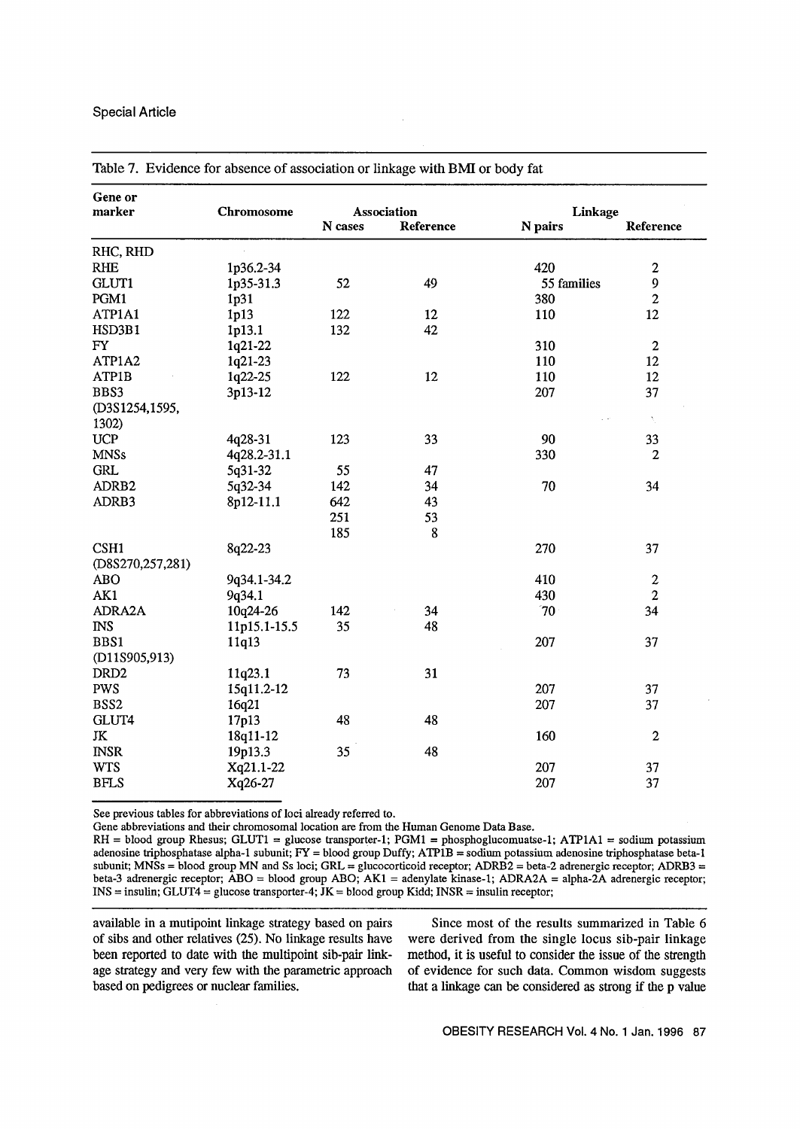| Reference        |
|------------------|
|                  |
| $\boldsymbol{2}$ |
| 9                |
| $\overline{2}$   |
| 12               |
|                  |
| $\overline{2}$   |
| 12               |
| 12               |
| 37               |
|                  |
| Â,               |
| 33               |
| $\overline{2}$   |
|                  |
| 34               |
|                  |
|                  |
|                  |
| 37               |
|                  |
| $\boldsymbol{2}$ |
| $\overline{2}$   |
| 34               |
|                  |
| 37               |
|                  |
|                  |
| 37               |
| 37               |
|                  |
| $\mathbf{2}$     |
|                  |
| 37               |
| 37               |
|                  |

Table 7. Evidence for absence of association or linkage with BMI or body fat

See previous tables for abbreviations of loci already referred to.

Gene abbreviations and their chromosomal location are from the Human Genome Data Base.

 $RH =$  blood group Rhesus; GLUT1 = glucose transporter-1; PGM1 = phosphoglucomuatse-1; ATP1A1 = sodium potassium adenosine triphosphatase alpha-1 subunit; FY = blood group Duffy; ATPIB = sodium potassium adenosine triphosphatase beta-1 subunit; MNSs = blood group MN and Ss loci; GRL = glucocorticoid receptor; ADRB2 = beta-2 adrenergic receptor; ADRB3 = beta-3 adrenergic receptor; ABO = blood group ABO; AK1 = adenylate kinase-1; ADRA2A = alpha-2A adrenergic receptor;  $INS =$  insulin; GLUT4 = glucose transporter-4;  $JK =$  blood group Kidd; INSR = insulin receptor;

available in a mutipoint linkage strategy based on pairs of sibs and other relatives (25). No linkage results have been reported to date with the multipoint sib-pair linkage strategy and very few with the parametric approach based on pedigrees or nuclear families.

Since most of the results summarized in Table 6 were derived from the single locus sib-pair linkage method, it is useful to consider the issue of the strength of evidence for such data. Common wisdom suggests that a linkage can be considered as strong if the p value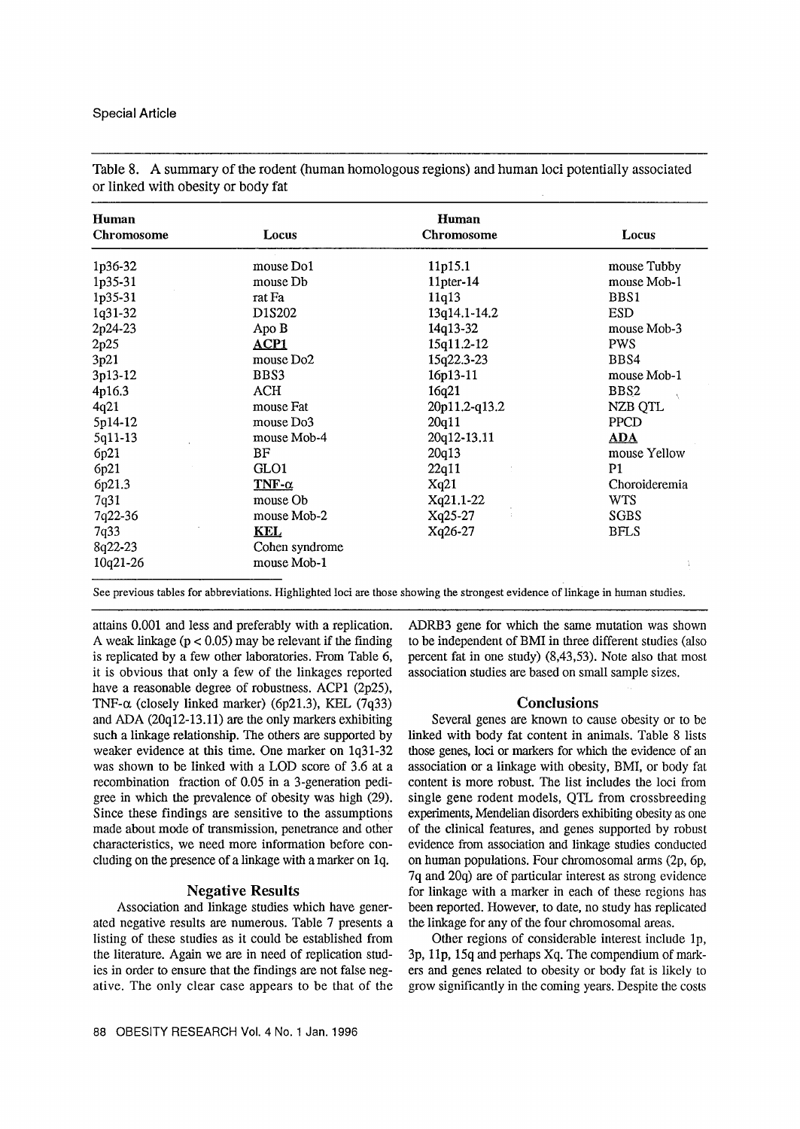| Human<br>Chromosome | Locus                 | Human<br><b>Chromosome</b> | Locus            |  |
|---------------------|-----------------------|----------------------------|------------------|--|
| 1p36-32             | mouse Do1             | 11p15.1                    | mouse Tubby      |  |
| 1p35-31             | mouse Db              | $11$ pter-14               | mouse Mob-1      |  |
| 1p35-31             | rat Fa                | 11q13                      | BBS1             |  |
| 1q31-32             | D1S202                | 13q14.1-14.2               | <b>ESD</b>       |  |
| 2p24-23             | Apo B                 | 14q13-32                   | mouse Mob-3      |  |
| 2p25                | <b>ACP1</b>           | 15q11.2-12                 | <b>PWS</b>       |  |
| 3p21                | mouse Do <sub>2</sub> | 15q22.3-23                 | BBS4             |  |
| 3p13-12             | BBS3                  | 16p13-11                   | mouse Mob-1      |  |
| 4p16.3              | <b>ACH</b>            | 16q21                      | BBS <sub>2</sub> |  |
| 4q21                | mouse Fat             | 20p11.2-q13.2              | NZB QTL          |  |
| 5p14-12             | mouse Do3             | 20q11                      | <b>PPCD</b>      |  |
| 5q11-13             | mouse Mob-4           | 20q12-13.11                | ADA              |  |
| 6p21                | BF                    | 20q13                      | mouse Yellow     |  |
| 6p21                | GLO1                  | 22q11                      | P <sub>1</sub>   |  |
| 6p21.3              | $TNF-\alpha$          | Xq21                       | Choroideremia    |  |
| 7q31                | mouse Ob              | Xq21.1-22                  | <b>WTS</b>       |  |
| 7q22-36             | mouse Mob-2           | Xq25-27<br>$\pm$           | <b>SGBS</b>      |  |
| 7q33                | <b>KEL</b>            | Xq26-27                    | <b>BFLS</b>      |  |
| 8q22-23             | Cohen syndrome        |                            |                  |  |
| 10q21-26            | mouse Mob-1           |                            |                  |  |

Table 8. A summary of the rodent (human homologous regions) and human loci potentially associated or linked with obesity or body fat

See previous tables for abbreviations. Highlighted loci are those showing the strongest evidence of linkage in human studies.

attains 0.001 and less and preferably with a replication. A weak linkage ( $p < 0.05$ ) may be relevant if the finding is replicated by a few other laboratories. From Table 6, it is obvious that only a few of the linkages reported have a reasonable degree of robustness. ACP1 (2p25), TNF- $\alpha$  (closely linked marker) (6p21.3), KEL (7q33) and ADA (20q12-13.11) are the only markers exhibiting such a linkage relationship. The others are supported by weaker evidence at this time. One marker on 1q31-32 was shown to be linked with a LOD score of 3.6 at a recombination fraction of 0.05 in a 3-generation pedigree in which the prevalence of obesity was high (29). Since these findings are sensitive to the assumptions made about mode of transmission, penetrance and other characteristics, we need more information before concluding on the presence of a linkage with a marker on lq.

### Negative Results

Association and linkage studies which have generated negative results are numerous. Table 7 presents a listing of these studies as it could be established from the literature. Again we are in need of replication studies in order to ensure that the findings are not false negative. The only clear case appears to be that of the

ADRB3 gene for which the same mutation was shown to be independent of BMI in three different studies (also percent fat in one study) (8,43,53). Note also that most association studies are based on small sample sizes.

#### Conclusions

Several genes are known to cause obesity or to be linked with body fat content in animals. Table 8 lists those genes, loci or markers for which the evidence of an association or a linkage with obesity, BMI, or body fat content is more robust. The list includes the loci from single gene rodent models, QTL from crossbreeding experiments, Mendelian disorders exhibiting obesity as one of the clinical features, and genes supported by robust evidence from association and linkage studies conducted on human populations. Four chromosomal arms (2p, 6p, 7q and 20q) are of particular interest as strong evidence for linkage with a marker in each of these regions has been reported. However, to date, no study has replicated the linkage for any of the four chromosomal areas.

Other regions of considerable interest include 1p, 3p, IIp, 15q and perhaps Xq. The compendium of markers and genes related to obesity or body fat is likely to grow significantly in the coming years. Despite the costs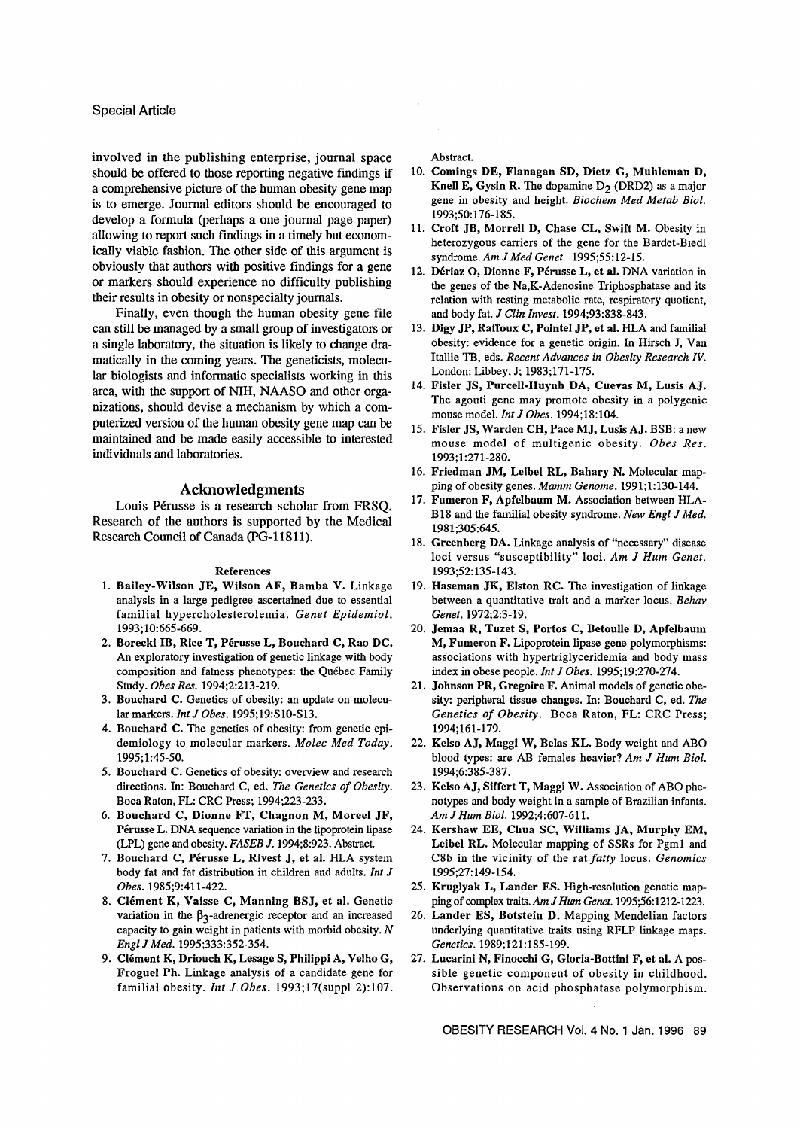involved in the publishing enterprise, journal space should be offered to those reporting negative findings if a comprehensive picture of the human obesity gene map is to emerge. Journal editors should be encouraged to develop a formula (perhaps a one journal page paper) allowing to report such findings in a timely but economically viable fashion. The other side of this argument is obviously that authors with positive findings for a gene or markers should experience no difficulty publishing their results in obesity or nonspecialty journals.

Finally, even though the human obesity gene file can still be managed by a small group of investigators or a single laboratory, the situation is likely to change dramatically in the coming years. The geneticists, molecular biologists and informatic specialists working in this area, with the support of NIH, NAASO and other organizations, should devise a mechanism by which a computerized version of the human obesity gene map can be maintained and be made easily accessible to interested individuals and laboratories.

#### Acknowledgments

Louis Perusse is a research scholar from FRSQ. Research of the authors is supported by the Medical Research Council of Canada (PG-11811).

#### References

- 1. Bailey-Wilson JE, Wilson AF, Bamba V. Linkage analysis in a large pedigree ascertained due to essential familial hypercholesterolemia. *Genet Epidemiol.* 1993;10:665-669.
- 2. Borecki IB, Rice T, Pérusse L, Bouchard C, Rao DC. An exploratory investigation of genetic linkage with body composition and fatness phenotypes: the Quebec Family Study. *Obes Res. 1994;2:213-219.*
- 3. Bouchard C. Genetics of obesity: an update on molecular markers. *Int JObes.* 1995;19:SlO-S13.
- 4. Bouchard C. The genetics of obesity: from genetic epidemiology to molecular markers. *Molec Med Today.* 1995;1:45-50.
- 5. Bouchard C. Genetics of obesity: overview and research directions. In: Bouchard C, ed. *The Genetics of Obesity.* Boca Raton, FL: CRC Press; 1994;223-233.
- 6. Bouchard C, Dionne FT, Chagnon M, Moreel JF, Pérusse L. DNA sequence variation in the lipoprotein lipase (LPL) gene and obesity. *FASEB J.* 1994;8:923.Abstract
- 7. Bouchard C, Pérusse L, Rivest J, et al. HLA system body fat and fat distribution in children and adults. *Int J Obes. 1985;9:411-422.*
- 8. Clément K, Vaisse C, Manning BSJ, et al. Genetic variation in the  $\beta_3$ -adrenergic receptor and an increased capacity to gain weight in patients with morbid obesity. N *Engl J Med. 1995;333:352-354.*
- 9. Clément K, Driouch K, Lesage S, Philippi A, Velho G, Froguel Ph. Linkage analysis of a candidate gene for familial obesity. *Int JObes.* 1993;17(suppl 2):107.

Abstract.

- 10. Comings DE, Flanagan SD, Dietz G, Muhleman D, Knell E, Gysin R. The dopamine  $D_2$  (DRD2) as a major gene in obesity and height. *Biochem Med Metab Biol.* 1993;50:176-185.
- 11. Croft JB, Morrell D, Chase CL, Swift M. Obesity in heterozygous carriers of the gene for the Bardet-Biedl syndrome. *Am J Med Genet. 1995;55:12-15.*
- 12. Dériaz O, Dionne F, Pérusse L, et al. DNA variation in the genes of the Na,K-Adenosine Triphosphatase and its relation with resting metabolic rate, respiratory quotient, and body fat. *J Clin Invest. 1994;93:838-843.*
- 13. Digy JP, Raffoux C, Pointel JP, et al. HLA and familial obesity: evidence for a genetic origin. In Hirsch J, Van Itallie TB, eds. *Recent Advances in Obesity Research IV.* London: Libbey, J; 1983;171-175.
- 14. Fisler JS, Purcell-Huynh DA, Cuevas M, Lusis AJ. The agouti gene may promote obesity in a polygenic mouse model. *Int JObes. 1994;18:104.*
- 15. Fisler JS, Warden CH, Pace MJ, Lusis AJ. BSB: a new mouse model of multigenic obesity. *Obes Res.* 1993;1:271-280.
- 16. Friedman JM, Leibel RL, Bahary N. Molecular mapping of obesity genes. *Mamm Genome. 1991;1:130-144.*
- 17. Fumeron F, Apfelbaum M. Association between HLA-B18 and the familial obesity syndrome. *New Engl J Med.* 1981;305:645.
- 18. Greenberg DA. Linkage analysis of "necessary" disease loci versus "susceptibility" loci. *Am J Hum Genet.* 1993;52:135-143.
- 19. Haseman JK, Elston RC. The investigation of linkage between a quantitative trait and a marker locus. *Behav Genet. 1972;2:3-19.*
- 20. Jemaa R, Tuzet S, Portos C, Betoulle D, Apfelbaum M, Fumeron F. Lipoprotein lipase gene polymorphisms: associations with hypertriglyceridemia and body mass index in obese people. *Int JObes. 1995;19:270-274.*
- 21. Johnson PR, Gregoire F. Animal models of genetic obesity: peripheral tissue changes. In: Bouchard C, ed. *The Genetics of Obesity.* Boca Raton, FL: CRC Press; 1994;161-179.
- 22. Kelso AJ, Maggi W, Belas KL. Body weight and ABO blood types: are AB females heavier? *Am J Hum Biol.* 1994;6:385-387.
- 23. Kelso AJ, Siffert T, Maggi W. Association of ABO phenotypes and body weight in a sample of Brazilian infants. *Am J Hum Biol. 1992;4:607-611.*
- 24. Kershaw EE, Chua SC, Williams JA, Murphy EM, Leibel RL. Molecular mapping of SSRs for Pgm1 and C8b in the vicinity of the rat *fatty* locus. *Genomics* 1995;27:149-154.
- 25. Kruglyak L, Lander ES. High-resolution genetic mapping of complextraits.Am*J Hum Genet. 1995;56:1212-1223.*
- 26. Lander ES, Botstein D. Mapping Mendelian factors underlying quantitative traits using RFLP linkage maps. *Genetics. 1989;121:185-199.*
- 27. Lucarini N, Finocchi G, Gloria-Bottini F, et al. A possible genetic component of obesity in childhood. Observations on acid phosphatase polymorphism.

OBESITY RESEARCH Vol. 4 NO.1 Jan. 1996 89